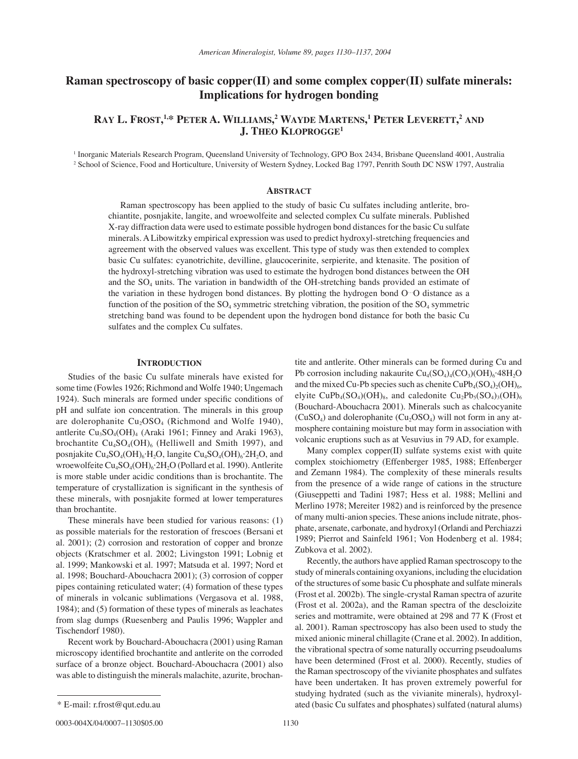# **Raman spectroscopy of basic copper(II) and some complex copper(II) sulfate minerals: Implications for hydrogen bonding**

## **RAY L. FROST, 1,\* PETER A. WILLIAMS, 2 WAYDE MARTENS, 1 PETER LEVERETT, <sup>2</sup> AND J. THEO KLOPROGGE1**

1 Inorganic Materials Research Program, Queensland University of Technology, GPO Box 2434, Brisbane Queensland 4001, Australia 2 School of Science, Food and Horticulture, University of Western Sydney, Locked Bag 1797, Penrith South DC NSW 1797, Australia

#### **ABSTRACT**

Raman spectroscopy has been applied to the study of basic Cu sulfates including antlerite, brochiantite, posnjakite, langite, and wroewolfeite and selected complex Cu sulfate minerals. Published X-ray diffraction data were used to estimate possible hydrogen bond distances for the basic Cu sulfate minerals. A Libowitzky empirical expression was used to predict hydroxyl-stretching frequencies and agreement with the observed values was excellent. This type of study was then extended to complex basic Cu sulfates: cyanotrichite, devilline, glaucocerinite, serpierite, and ktenasite. The position of the hydroxyl-stretching vibration was used to estimate the hydrogen bond distances between the OH and the  $SO_4$  units. The variation in bandwidth of the OH-stretching bands provided an estimate of the variation in these hydrogen bond distances. By plotting the hydrogen bond O…O distance as a function of the position of the  $SO_4$  symmetric stretching vibration, the position of the  $SO_4$  symmetric stretching band was found to be dependent upon the hydrogen bond distance for both the basic Cu sulfates and the complex Cu sulfates.

#### **INTRODUCTION**

Studies of the basic Cu sulfate minerals have existed for some time (Fowles 1926; Richmond and Wolfe 1940; Ungemach 1924). Such minerals are formed under specific conditions of pH and sulfate ion concentration. The minerals in this group are dolerophanite  $Cu<sub>2</sub>OSO<sub>4</sub>$  (Richmond and Wolfe 1940), antlerite  $Cu<sub>3</sub>SO<sub>4</sub>(OH)<sub>4</sub>$  (Araki 1961; Finney and Araki 1963), brochantite  $Cu<sub>4</sub>SO<sub>4</sub>(OH)<sub>6</sub>$  (Helliwell and Smith 1997), and posnjakite Cu<sub>4</sub>SO<sub>4</sub>(OH)<sub>6</sub>⋅H<sub>2</sub>O, langite Cu<sub>4</sub>SO<sub>4</sub>(OH)<sub>6</sub>⋅2H<sub>2</sub>O, and wroewolfeite Cu<sub>4</sub>SO<sub>4</sub>(OH)<sub>6</sub>⋅2H<sub>2</sub>O (Pollard et al. 1990). Antlerite is more stable under acidic conditions than is brochantite. The temperature of crystallization is significant in the synthesis of these minerals, with posnjakite formed at lower temperatures than brochantite.

These minerals have been studied for various reasons: (1) as possible materials for the restoration of frescoes (Bersani et al. 2001); (2) corrosion and restoration of copper and bronze objects (Kratschmer et al. 2002; Livingston 1991; Lobnig et al. 1999; Mankowski et al. 1997; Matsuda et al. 1997; Nord et al. 1998; Bouchard-Abouchacra 2001); (3) corrosion of copper pipes containing reticulated water; (4) formation of these types of minerals in volcanic sublimations (Vergasova et al. 1988, 1984); and (5) formation of these types of minerals as leachates from slag dumps (Ruesenberg and Paulis 1996; Wappler and Tischendorf 1980).

Recent work by Bouchard-Abouchacra (2001) using Raman microscopy identified brochantite and antlerite on the corroded surface of a bronze object. Bouchard-Abouchacra (2001) also was able to distinguish the minerals malachite, azurite, brochantite and antlerite. Other minerals can be formed during Cu and Pb corrosion including nakaurite  $Cu_4(SO_4)_4(CO_3)(OH)_6.48H_2O$ and the mixed Cu-Pb species such as chenite  $CuPb<sub>4</sub>(SO<sub>4</sub>)<sub>2</sub>(OH)<sub>6</sub>$ , elyite CuPb<sub>4</sub>(SO<sub>4</sub>)(OH)<sub>8</sub>, and caledonite Cu<sub>2</sub>Pb<sub>5</sub>(SO<sub>4</sub>)<sub>3</sub>(OH)<sub>6</sub> (Bouchard-Abouchacra 2001). Minerals such as chalcocyanite  $(CuSO<sub>4</sub>)$  and dolerophanite  $(Cu<sub>2</sub>OSO<sub>4</sub>)$  will not form in any atmosphere containing moisture but may form in association with volcanic eruptions such as at Vesuvius in 79 AD, for example.

Many complex copper(II) sulfate systems exist with quite complex stoichiometry (Effenberger 1985, 1988; Effenberger and Zemann 1984). The complexity of these minerals results from the presence of a wide range of cations in the structure (Giuseppetti and Tadini 1987; Hess et al. 1988; Mellini and Merlino 1978; Mereiter 1982) and is reinforced by the presence of many multi-anion species. These anions include nitrate, phosphate, arsenate, carbonate, and hydroxyl (Orlandi and Perchiazzi 1989; Pierrot and Sainfeld 1961; Von Hodenberg et al. 1984; Zubkova et al. 2002).

Recently, the authors have applied Raman spectroscopy to the study of minerals containing oxyanions, including the elucidation of the structures of some basic Cu phosphate and sulfate minerals (Frost et al. 2002b). The single-crystal Raman spectra of azurite (Frost et al. 2002a), and the Raman spectra of the descloizite series and mottramite, were obtained at 298 and 77 K (Frost et al. 2001). Raman spectroscopy has also been used to study the mixed anionic mineral chillagite (Crane et al. 2002). In addition, the vibrational spectra of some naturally occurring pseudoalums have been determined (Frost et al. 2000). Recently, studies of the Raman spectroscopy of the vivianite phosphates and sulfates have been undertaken. It has proven extremely powerful for studying hydrated (such as the vivianite minerals), hydroxylated (basic Cu sulfates and phosphates) sulfated (natural alums)

<sup>\*</sup> E-mail: r.frost@qut.edu.au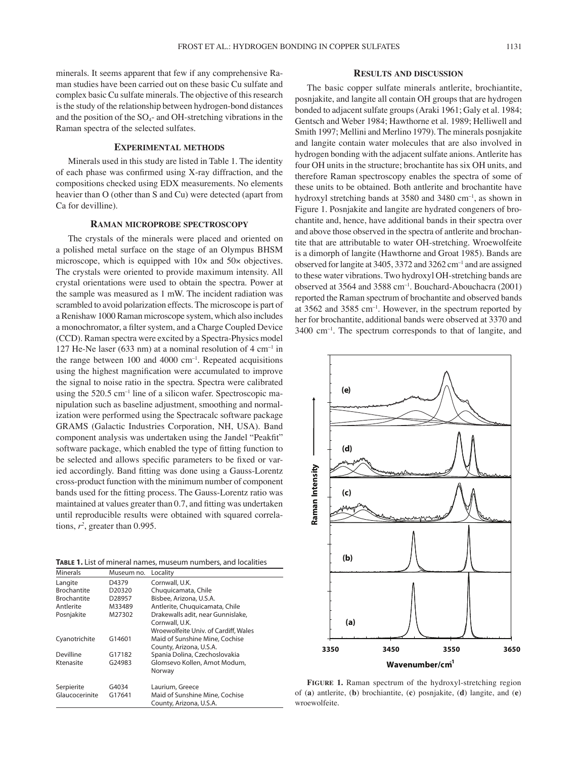minerals. It seems apparent that few if any comprehensive Raman studies have been carried out on these basic Cu sulfate and complex basic Cu sulfate minerals. The objective of this research is the study of the relationship between hydrogen-bond distances and the position of the  $SO_4$ - and OH-stretching vibrations in the Raman spectra of the selected sulfates.

## **EXPERIMENTAL METHODS**

Minerals used in this study are listed in Table 1. The identity of each phase was confirmed using X-ray diffraction, and the compositions checked using EDX measurements. No elements heavier than O (other than S and Cu) were detected (apart from Ca for devilline).

#### **RAMAN MICROPROBE SPECTROSCOPY**

The crystals of the minerals were placed and oriented on a polished metal surface on the stage of an Olympus BHSM microscope, which is equipped with  $10\times$  and  $50\times$  objectives. The crystals were oriented to provide maximum intensity. All crystal orientations were used to obtain the spectra. Power at the sample was measured as 1 mW. The incident radiation was scrambled to avoid polarization effects. The microscope is part of a Renishaw 1000 Raman microscope system, which also includes a monochromator, a filter system, and a Charge Coupled Device (CCD). Raman spectra were excited by a Spectra-Physics model 127 He-Ne laser (633 nm) at a nominal resolution of  $4 \text{ cm}^{-1}$  in the range between  $100$  and  $4000$  cm<sup>-1</sup>. Repeated acquisitions using the highest magnification were accumulated to improve the signal to noise ratio in the spectra. Spectra were calibrated using the  $520.5 \text{ cm}^{-1}$  line of a silicon wafer. Spectroscopic manipulation such as baseline adjustment, smoothing and normalization were performed using the Spectracalc software package GRAMS (Galactic Industries Corporation, NH, USA). Band component analysis was undertaken using the Jandel "Peakfit" software package, which enabled the type of fitting function to be selected and allows specific parameters to be fixed or varied accordingly. Band fitting was done using a Gauss-Lorentz cross-product function with the minimum number of component bands used for the fitting process. The Gauss-Lorentz ratio was maintained at values greater than 0.7, and fitting was undertaken until reproducible results were obtained with squared correlations,  $r^2$ , greater than 0.995.

**TABLE 1.** List of mineral names, museum numbers, and localities

| <b>Minerals</b>    | Museum no. | Locality                             |
|--------------------|------------|--------------------------------------|
| Langite            | D4379      | Cornwall, U.K.                       |
| <b>Brochantite</b> | D20320     | Chuquicamata, Chile                  |
| <b>Brochantite</b> | D28957     | Bisbee, Arizona, U.S.A.              |
| Antlerite          | M33489     | Antlerite, Chuquicamata, Chile       |
| Posnjakite         | M27302     | Drakewalls adit, near Gunnislake,    |
|                    |            | Cornwall, U.K.                       |
|                    |            | Wroewolfeite Univ. of Cardiff, Wales |
| Cyanotrichite      | G14601     | Maid of Sunshine Mine, Cochise       |
|                    |            | County, Arizona, U.S.A.              |
| Devilline          | G17182     | Spania Dolina, Czechoslovakia        |
| Ktenasite          | G24983     | Glomsevo Kollen, Amot Modum,         |
|                    |            | Norway                               |
| Serpierite         | G4034      | Laurium, Greece                      |
| Glaucocerinite     | G17641     | Maid of Sunshine Mine, Cochise       |
|                    |            | County, Arizona, U.S.A.              |

## **RESULTS AND DISCUSSION**

The basic copper sulfate minerals antlerite, brochiantite, posnjakite, and langite all contain OH groups that are hydrogen bonded to adjacent sulfate groups (Araki 1961; Galy et al. 1984; Gentsch and Weber 1984; Hawthorne et al. 1989; Helliwell and Smith 1997; Mellini and Merlino 1979). The minerals posnjakite and langite contain water molecules that are also involved in hydrogen bonding with the adjacent sulfate anions. Antlerite has four OH units in the structure; brochantite has six OH units, and therefore Raman spectroscopy enables the spectra of some of these units to be obtained. Both antlerite and brochantite have hydroxyl stretching bands at 3580 and 3480 cm<sup>-1</sup>, as shown in Figure 1. Posnjakite and langite are hydrated congeners of brochantite and, hence, have additional bands in their spectra over and above those observed in the spectra of antlerite and brochantite that are attributable to water OH-stretching. Wroewolfeite is a dimorph of langite (Hawthorne and Groat 1985). Bands are observed for langite at 3405, 3372 and 3262 cm–1 and are assigned to these water vibrations. Two hydroxyl OH-stretching bands are observed at 3564 and 3588 cm–1. Bouchard-Abouchacra (2001) reported the Raman spectrum of brochantite and observed bands at 3562 and 3585 cm–1. However, in the spectrum reported by her for brochantite, additional bands were observed at 3370 and 3400 cm–1. The spectrum corresponds to that of langite, and



FIGURE 1. Raman spectrum of the hydroxyl-stretching region of (**a**) antlerite, (**b**) brochiantite, (**c**) posnjakite, (**d**) langite, and (**e**) wroewolfeite.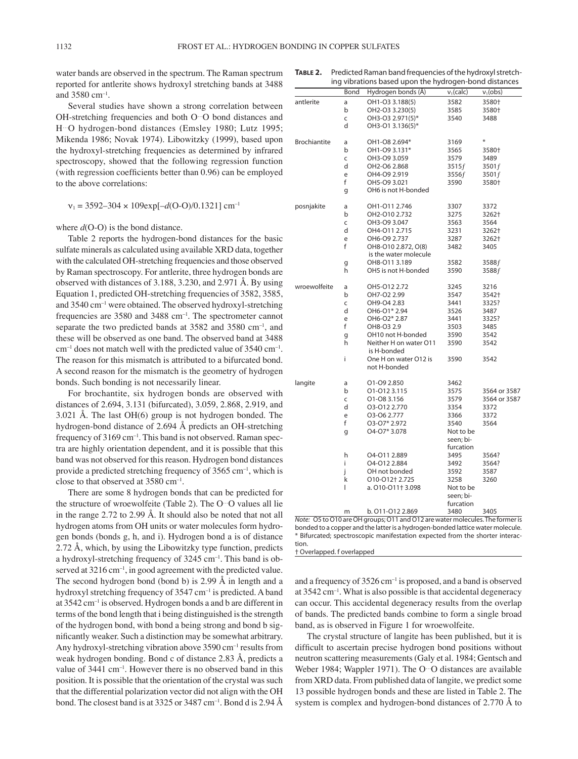water bands are observed in the spectrum. The Raman spectrum reported for antlerite shows hydroxyl stretching bands at 3488 and 3580 cm–1.

Several studies have shown a strong correlation between OH-stretching frequencies and both O…O bond distances and H…O hydrogen-bond distances (Emsley 1980; Lutz 1995; Mikenda 1986; Novak 1974). Libowitzky (1999), based upon the hydroxyl-stretching frequencies as determined by infrared spectroscopy, showed that the following regression function (with regression coefficients better than 0.96) can be employed to the above correlations:

$$
v_1 = 3592-304 \times 109 \exp[-d(O-O)/0.1321] \text{ cm}^{-1}
$$

where  $d(O-O)$  is the bond distance.

Table 2 reports the hydrogen-bond distances for the basic sulfate minerals as calculated using available XRD data, together with the calculated OH-stretching frequencies and those observed by Raman spectroscopy. For antlerite, three hydrogen bonds are observed with distances of 3.188, 3.230, and 2.971 Å. By using Equation 1, predicted OH-stretching frequencies of 3582, 3585, and 3540 cm–1 were obtained. The observed hydroxyl-stretching frequencies are 3580 and 3488 cm–1. The spectrometer cannot separate the two predicted bands at 3582 and 3580 cm<sup>-1</sup>, and these will be observed as one band. The observed band at 3488  $cm^{-1}$  does not match well with the predicted value of 3540 cm<sup>-1</sup>. The reason for this mismatch is attributed to a bifurcated bond. A second reason for the mismatch is the geometry of hydrogen bonds. Such bonding is not necessarily linear.

For brochantite, six hydrogen bonds are observed with distances of 2.694, 3.131 (bifurcated), 3.059, 2.868, 2.919, and 3.021 Å. The last OH(6) group is not hydrogen bonded. The hydrogen-bond distance of 2.694 Å predicts an OH-stretching frequency of 3169 cm<sup>-1</sup>. This band is not observed. Raman spectra are highly orientation dependent, and it is possible that this band was not observed for this reason. Hydrogen bond distances provide a predicted stretching frequency of  $3565 \text{ cm}^{-1}$ , which is close to that observed at 3580 cm–1.

There are some 8 hydrogen bonds that can be predicted for the structure of wroewolfeite (Table 2). The O…O values all lie in the range 2.72 to 2.99 Å. It should also be noted that not all hydrogen atoms from OH units or water molecules form hydrogen bonds (bonds g, h, and i). Hydrogen bond a is of distance 2.72 Å, which, by using the Libowitzky type function, predicts a hydroxyl-stretching frequency of 3245 cm–1. This band is observed at 3216 cm<sup>-1</sup>, in good agreement with the predicted value. The second hydrogen bond (bond b) is 2.99 Å in length and a hydroxyl stretching frequency of 3547 cm<sup>-1</sup> is predicted. A band at 3542 cm–1 is observed. Hydrogen bonds a and b are different in terms of the bond length that i being distinguished is the strength of the hydrogen bond, with bond a being strong and bond b significantly weaker. Such a distinction may be somewhat arbitrary. Any hydroxyl-stretching vibration above  $3590 \text{ cm}^{-1}$  results from weak hydrogen bonding. Bond c of distance 2.83 Å, predicts a value of 3441 cm<sup>-1</sup>. However there is no observed band in this position. It is possible that the orientation of the crystal was such that the differential polarization vector did not align with the OH bond. The closest band is at 3325 or 3487 cm–1. Bond d is 2.94 Å

**TABLE 2.** Predicted Raman band frequencies of the hydroxyl stretching vibrations based upon the hydrogen-bond distances

|                     | Bond | Hydrogen bonds (Å)                    | $v_1$ (calc) | $v_1$ (obs)  |
|---------------------|------|---------------------------------------|--------------|--------------|
| antlerite           | a    | OH1-O3 3.188(5)                       | 3582         | 3580+        |
|                     | b    | OH2-O3 3.230(5)                       | 3585         | 3580+        |
|                     | C    | OH3-O3 2.971(5)*                      | 3540         | 3488         |
|                     | d    | OH3-O1 3.136(5)*                      |              |              |
| <b>Brochiantite</b> | а    | OH1-O8 2.694*                         | 3169         | ¥            |
|                     | b    | OH1-O9 3.131*                         | 3565         | 3580+        |
|                     | C    | OH3-O9 3.059                          | 3579         | 3489         |
|                     | d    | OH2-O6 2.868                          | 3515f        | 3501f        |
|                     | e    | OH4-O9 2.919                          | 3556f        | 3501f        |
|                     | f    | OH5-O9 3.021                          | 3590         | 3580+        |
|                     | g    | OH6 is not H-bonded                   |              |              |
| posnjakite          | a    | OH1-011 2.746                         | 3307         | 3372         |
|                     | b    | OH2-O10 2.732                         | 3275         | 3262†        |
|                     | C    | OH3-O9 3.047                          | 3563         | 3564         |
|                     | d    | OH4-011 2.715                         | 3231         | 3262†        |
|                     | e    | OH6-O9 2.737                          | 3287         | 3262†        |
|                     | f    | OH8-O10 2.872, O(8)                   | 3482         | 3405         |
|                     |      | is the water molecule                 |              |              |
|                     | g    | OH8-O11 3.189                         | 3582         | 3588f        |
|                     | h    | OH5 is not H-bonded                   | 3590         | 3588f        |
| wroewolfeite        | a    | OH5-012 2.72                          | 3245         | 3216         |
|                     | b    | OH7-O2 2.99                           | 3547         | 3542†        |
|                     | C    | OH9-O4 2.83                           | 3441         | 3325?        |
|                     | d    | OH6-O1* 2.94                          | 3526         | 3487         |
|                     | е    | OH6-O2* 2.87                          | 3441         | 3325?        |
|                     | f    | OH8-O3 2.9                            | 3503         | 3485         |
|                     | g    | OH10 not H-bonded                     | 3590         | 3542         |
|                     | h    | Neither H on water O11<br>is H-bonded | 3590         | 3542         |
|                     | i    | One H on water O12 is                 | 3590         | 3542         |
|                     |      | not H-bonded                          |              |              |
| langite             | a    | 01-09 2.850                           | 3462         |              |
|                     | b    | 01-0123.115                           | 3575         | 3564 or 3587 |
|                     | C    | 01-08 3.156                           | 3579         | 3564 or 3587 |
|                     | d    | 03-012 2.770                          | 3354         | 3372         |
|                     | e    | 03-06 2.777                           | 3366         | 3372         |
|                     | f    | 03-07* 2.972                          | 3540         | 3564         |
|                     | g    | O4-O7* 3.078                          | Not to be    |              |
|                     |      |                                       | seen; bi-    |              |
|                     |      |                                       | furcation    |              |
|                     | h    | 04-011 2.889                          | 3495         | 3564?        |
|                     | i    | 04-012 2.884                          | 3492         | 3564?        |
|                     | j    | OH not bonded                         | 3592         | 3587         |
|                     | k    | 010-012+2.725                         | 3258         | 3260         |
|                     | I    | a. 010-011† 3.098                     | Not to be    |              |
|                     |      |                                       | seen; bi-    |              |
|                     |      |                                       | furcation    |              |
|                     | m    | b. 011-012 2.869                      | 3480         | 3405         |

Note: O5 to O10 are OH groups; O11 and O12 are water molecules. The former is bonded to a copper and the latter is a hydrogen-bonded lattice water molecule. \* Bifurcated; spectroscopic manifestation expected from the shorter interaction.

† Overlapped. f overlapped

and a frequency of  $3526 \text{ cm}^{-1}$  is proposed, and a band is observed at  $3542 \text{ cm}^{-1}$ . What is also possible is that accidental degeneracy can occur. This accidental degeneracy results from the overlap of bands. The predicted bands combine to form a single broad band, as is observed in Figure 1 for wroewolfeite.

The crystal structure of langite has been published, but it is difficult to ascertain precise hydrogen bond positions without neutron scattering measurements (Galy et al. 1984; Gentsch and Weber 1984; Wappler 1971). The O…O distances are available from XRD data. From published data of langite, we predict some 13 possible hydrogen bonds and these are listed in Table 2. The system is complex and hydrogen-bond distances of 2.770 Å to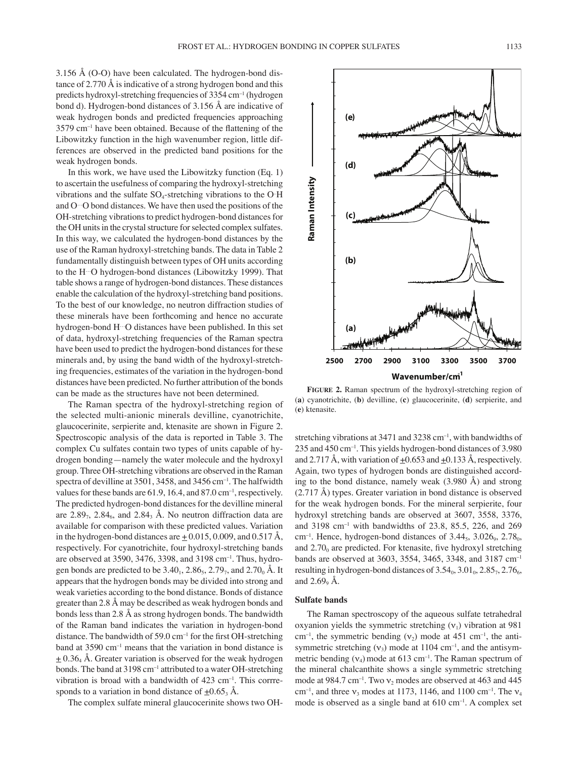3.156 Å (O-O) have been calculated. The hydrogen-bond distance of 2.770 Å is indicative of a strong hydrogen bond and this predicts hydroxyl-stretching frequencies of 3354 cm–1 (hydrogen bond d). Hydrogen-bond distances of 3.156 Å are indicative of weak hydrogen bonds and predicted frequencies approaching 3579 cm–1 have been obtained. Because of the flattening of the Libowitzky function in the high wavenumber region, little differences are observed in the predicted band positions for the weak hydrogen bonds.

In this work, we have used the Libowitzky function (Eq. 1) to ascertain the usefulness of comparing the hydroxyl-stretching vibrations and the sulfate  $SO_4$ -stretching vibrations to the O $\rm H$ and O…O bond distances. We have then used the positions of the OH-stretching vibrations to predict hydrogen-bond distances for the OH units in the crystal structure for selected complex sulfates. In this way, we calculated the hydrogen-bond distances by the use of the Raman hydroxyl-stretching bands. The data in Table 2 fundamentally distinguish between types of OH units according to the H…O hydrogen-bond distances (Libowitzky 1999). That table shows a range of hydrogen-bond distances. These distances enable the calculation of the hydroxyl-stretching band positions. To the best of our knowledge, no neutron diffraction studies of these minerals have been forthcoming and hence no accurate hydrogen-bond H…O distances have been published. In this set of data, hydroxyl-stretching frequencies of the Raman spectra have been used to predict the hydrogen-bond distances for these minerals and, by using the band width of the hydroxyl-stretching frequencies, estimates of the variation in the hydrogen-bond distances have been predicted. No further attribution of the bonds can be made as the structures have not been determined.

The Raman spectra of the hydroxyl-stretching region of the selected multi-anionic minerals devilline, cyanotrichite, glaucocerinite, serpierite and, ktenasite are shown in Figure 2. Spectroscopic analysis of the data is reported in Table 3. The complex Cu sulfates contain two types of units capable of hydrogen bonding—namely the water molecule and the hydroxyl group. Three OH-stretching vibrations are observed in the Raman spectra of devilline at 3501, 3458, and 3456 cm<sup>-1</sup>. The halfwidth values for these bands are  $61.9$ , 16.4, and  $87.0 \text{ cm}^{-1}$ , respectively. The predicted hydrogen-bond distances for the devilline mineral are  $2.89<sub>7</sub>$ ,  $2.84<sub>6</sub>$ , and  $2.84<sub>3</sub>$ . A. No neutron diffraction data are available for comparison with these predicted values. Variation in the hydrogen-bond distances are  $\pm$  0.015, 0.009, and 0.517 Å, respectively. For cyanotrichite, four hydroxyl-stretching bands are observed at 3590, 3476, 3398, and 3198 cm–1. Thus, hydrogen bonds are predicted to be  $3.40_1$ ,  $2.86_5$ ,  $2.79_7$ , and  $2.70_0$  Å. It appears that the hydrogen bonds may be divided into strong and weak varieties according to the bond distance. Bonds of distance greater than 2.8 Å may be described as weak hydrogen bonds and bonds less than 2.8 Å as strong hydrogen bonds. The bandwidth of the Raman band indicates the variation in hydrogen-bond distance. The bandwidth of 59.0  $cm^{-1}$  for the first OH-stretching band at  $3590 \text{ cm}^{-1}$  means that the variation in bond distance is  $\pm$  0.36<sub>4</sub> Å. Greater variation is observed for the weak hydrogen bonds. The band at 3198 cm<sup>-1</sup> attributed to a water OH-stretching vibration is broad with a bandwidth of 423 cm<sup>-1</sup>. This corrresponds to a variation in bond distance of  $\pm 0.65$ <sub>3</sub> Å.

The complex sulfate mineral glaucocerinite shows two OH-

**���������** (**a**) cyanotrichite, (**b**) devilline, (**c**) glaucocerinite, (**d**) serpierite, and **FIGURE 2.** Raman spectrum of the hydroxyl-stretching region of (**e**) ktenasite.

stretching vibrations at 3471 and 3238 cm<sup>-1</sup>, with bandwidths of 235 and 450 cm–1. This yields hydrogen-bond distances of 3.980 and 2.717 Å, with variation of  $\pm 0.653$  and  $\pm 0.133$  Å, respectively. Again, two types of hydrogen bonds are distinguished according to the bond distance, namely weak  $(3.980 \text{ Å})$  and strong (2.717 Å) types. Greater variation in bond distance is observed for the weak hydrogen bonds. For the mineral serpierite, four hydroxyl stretching bands are observed at 3607, 3558, 3376, and 3198 cm–1 with bandwidths of 23.8, 85.5, 226, and 269 cm<sup>-1</sup>. Hence, hydrogen-bond distances of  $3.44_5$ ,  $3.026_9$ ,  $2.78_0$ , and  $2.70<sub>0</sub>$  are predicted. For ktenasite, five hydroxyl stretching bands are observed at 3603, 3554, 3465, 3348, and 3187 cm–1 resulting in hydrogen-bond distances of  $3.54<sub>0</sub>$ ,  $3.01<sub>0</sub>$ ,  $2.85<sub>7</sub>$ ,  $2.76<sub>6</sub>$ , and  $2.69<sub>9</sub>$  Å.

## **Sulfate bands**

The Raman spectroscopy of the aqueous sulfate tetrahedral oxyanion yields the symmetric stretching  $(v_1)$  vibration at 981 cm<sup>-1</sup>, the symmetric bending ( $v_2$ ) mode at 451 cm<sup>-1</sup>, the antisymmetric stretching  $(v_3)$  mode at 1104 cm<sup>-1</sup>, and the antisymmetric bending  $(v_4)$  mode at 613 cm<sup>-1</sup>. The Raman spectrum of the mineral chalcanthite shows a single symmetric stretching mode at 984.7 cm<sup>-1</sup>. Two  $v_2$  modes are observed at 463 and 445 cm<sup>-1</sup>, and three  $v_3$  modes at 1173, 1146, and 1100 cm<sup>-1</sup>. The  $v_4$ mode is observed as a single band at 610 cm<sup>-1</sup>. A complex set

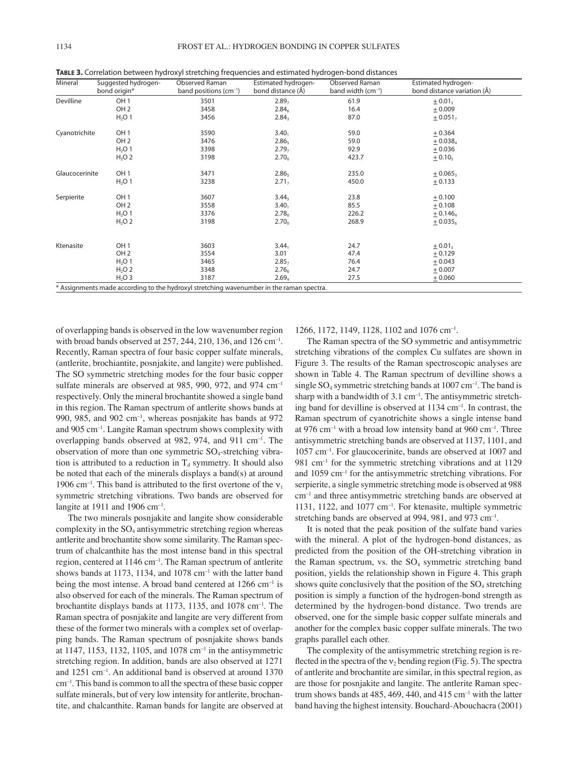|  | TABLE 3. Correlation between hydroxyl stretching frequencies and estimated hydrogen-bond distances |  |
|--|----------------------------------------------------------------------------------------------------|--|
|  |                                                                                                    |  |

| Mineral                                                                                  | Suggested hydrogen-<br>bond origin* | <b>Observed Raman</b><br>band positions (cm <sup>-1</sup> ) | Estimated hydrogen-<br>bond distance (Å) | <b>Observed Raman</b><br>band width (cm <sup>-1</sup> ) | Estimated hydrogen-<br>bond distance variation (Å) |  |
|------------------------------------------------------------------------------------------|-------------------------------------|-------------------------------------------------------------|------------------------------------------|---------------------------------------------------------|----------------------------------------------------|--|
| Devilline                                                                                | OH <sub>1</sub>                     | 3501                                                        | 2.89 <sub>7</sub>                        | 61.9                                                    | $\pm 0.01_5$                                       |  |
|                                                                                          | OH <sub>2</sub>                     | 3458                                                        | 2.84 <sub>6</sub>                        | 16.4                                                    | $+0.009$                                           |  |
|                                                                                          | H <sub>2</sub> O <sub>1</sub>       | 3456                                                        | 2.84 <sub>3</sub>                        | 87.0                                                    | $+0.051$ <sub>7</sub>                              |  |
| Cyanotrichite                                                                            | OH <sub>1</sub>                     | 3590                                                        | $3.40_1$                                 | 59.0                                                    | ± 0.364                                            |  |
|                                                                                          | OH <sub>2</sub>                     | 3476                                                        | 2.86 <sub>5</sub>                        | 59.0                                                    | $+0.038_4$                                         |  |
|                                                                                          | $H2O$ 1                             | 3398                                                        | 2.79 <sub>7</sub>                        | 92.9                                                    | $+0.036$                                           |  |
|                                                                                          | $H2O$ 2                             | 3198                                                        | 2.70 <sub>0</sub>                        | 423.7                                                   | $\pm 0.10$                                         |  |
| Glaucocerinite                                                                           | OH <sub>1</sub>                     | 3471                                                        | 2.86 <sub>5</sub>                        | 235.0                                                   | $+0.065$                                           |  |
|                                                                                          | H <sub>2</sub> O <sub>1</sub>       | 3238                                                        | 2.71 <sub>7</sub>                        | 450.0                                                   | ± 0.133                                            |  |
| Serpierite                                                                               | OH <sub>1</sub>                     | 3607                                                        | 3.44 <sub>5</sub>                        | 23.8                                                    | ± 0.100                                            |  |
|                                                                                          | OH <sub>2</sub>                     | 3558                                                        | $3.40_1$                                 | 85.5                                                    | $+0.108$                                           |  |
|                                                                                          | H <sub>2</sub> O <sub>1</sub>       | 3376                                                        | 2.78 <sub>0</sub>                        | 226.2                                                   | $± 0.146_4$                                        |  |
|                                                                                          | $H2O$ 2                             | 3198                                                        | 2.70 <sub>o</sub>                        | 268.9                                                   | $\pm 0.035_6$                                      |  |
|                                                                                          |                                     |                                                             |                                          |                                                         |                                                    |  |
| Ktenasite                                                                                | OH <sub>1</sub>                     | 3603                                                        | $3.44_1$                                 | 24.7                                                    | $\pm 0.01_5$                                       |  |
|                                                                                          | OH <sub>2</sub>                     | 3554                                                        | 3.01                                     | 47.4                                                    | ± 0.129                                            |  |
|                                                                                          | H <sub>2</sub> O <sub>1</sub>       | 3465                                                        | 2.85 <sub>7</sub>                        | 76.4                                                    | $+0.043$                                           |  |
|                                                                                          | H <sub>2</sub> O <sub>2</sub>       | 3348                                                        | 2.76 <sub>6</sub>                        | 24.7                                                    | $+0.007$                                           |  |
|                                                                                          | $H2O$ 3                             | 3187                                                        | 2.69 <sub>9</sub>                        | 27.5                                                    | ± 0.060                                            |  |
| * Assignments made according to the hydroxyl stretching wavenumber in the raman spectra. |                                     |                                                             |                                          |                                                         |                                                    |  |

of overlapping bands is observed in the low wavenumber region with broad bands observed at  $257$ ,  $244$ ,  $210$ ,  $136$ , and  $126$  cm<sup>-1</sup>. Recently, Raman spectra of four basic copper sulfate minerals, (antlerite, brochiantite, posnjakite, and langite) were published. The SO symmetric stretching modes for the four basic copper sulfate minerals are observed at 985, 990, 972, and 974 cm<sup>-1</sup> respectively. Only the mineral brochantite showed a single band in this region. The Raman spectrum of antlerite shows bands at 990, 985, and 902  $cm^{-1}$ , whereas posnjakite has bands at 972 and 905 cm–1. Langite Raman spectrum shows complexity with overlapping bands observed at 982, 974, and 911 cm–1. The observation of more than one symmetric  $SO_4$ -stretching vibration is attributed to a reduction in  $T_d$  symmetry. It should also be noted that each of the minerals displays a band(s) at around 1906 cm<sup>-1</sup>. This band is attributed to the first overtone of the  $v_1$ symmetric stretching vibrations. Two bands are observed for langite at 1911 and 1906  $cm^{-1}$ .

The two minerals posnjakite and langite show considerable complexity in the  $SO_4$  antisymmetric stretching region whereas antlerite and brochantite show some similarity. The Raman spectrum of chalcanthite has the most intense band in this spectral region, centered at 1146 cm–1. The Raman spectrum of antlerite shows bands at 1173, 1134, and 1078 cm<sup>-1</sup> with the latter band being the most intense. A broad band centered at  $1266 \text{ cm}^{-1}$  is also observed for each of the minerals. The Raman spectrum of brochantite displays bands at 1173, 1135, and 1078 cm–1. The Raman spectra of posnjakite and langite are very different from these of the former two minerals with a complex set of overlapping bands. The Raman spectrum of posnjakite shows bands at 1147, 1153, 1132, 1105, and 1078 cm–1 in the antisymmetric stretching region. In addition, bands are also observed at 1271 and 1251 cm–1. An additional band is observed at around 1370 cm–1. This band is common to all the spectra of these basic copper sulfate minerals, but of very low intensity for antlerite, brochantite, and chalcanthite. Raman bands for langite are observed at

1266, 1172, 1149, 1128, 1102 and 1076 cm–1.

The Raman spectra of the SO symmetric and antisymmetric stretching vibrations of the complex Cu sulfates are shown in Figure 3. The results of the Raman spectroscopic analyses are shown in Table 4. The Raman spectrum of devilline shows a single  $SO_4$  symmetric stretching bands at 1007 cm<sup>-1</sup>. The band is sharp with a bandwidth of  $3.1 \text{ cm}^{-1}$ . The antisymmetric stretching band for devilline is observed at  $1134 \text{ cm}^{-1}$ . In contrast, the Raman spectrum of cyanotrichite shows a single intense band at 976 cm<sup>-1</sup> with a broad low intensity band at 960 cm<sup>-1</sup>. Three antisymmetric stretching bands are observed at 1137, 1101, and 1057 cm–1. For glaucocerinite, bands are observed at 1007 and  $981$  cm<sup>-1</sup> for the symmetric stretching vibrations and at 1129 and 1059 cm–1 for the antisymmetric stretching vibrations. For serpierite, a single symmetric stretching mode is observed at 988 cm–1 and three antisymmetric stretching bands are observed at 1131, 1122, and 1077 cm–1. For ktenasite, multiple symmetric stretching bands are observed at 994, 981, and 973 cm<sup>-1</sup>.

It is noted that the peak position of the sulfate band varies with the mineral. A plot of the hydrogen-bond distances, as predicted from the position of the OH-stretching vibration in the Raman spectrum, vs. the  $SO<sub>4</sub>$  symmetric stretching band position, yields the relationship shown in Figure 4. This graph shows quite conclusively that the position of the  $SO<sub>4</sub>$  stretching position is simply a function of the hydrogen-bond strength as determined by the hydrogen-bond distance. Two trends are observed, one for the simple basic copper sulfate minerals and another for the complex basic copper sulfate minerals. The two graphs parallel each other.

The complexity of the antisymmetric stretching region is reflected in the spectra of the  $v_2$  bending region (Fig. 5). The spectra of antlerite and brochantite are similar, in this spectral region, as are those for posnjakite and langite. The antlerite Raman spectrum shows bands at 485, 469, 440, and 415 cm<sup>-1</sup> with the latter band having the highest intensity. Bouchard-Abouchacra (2001)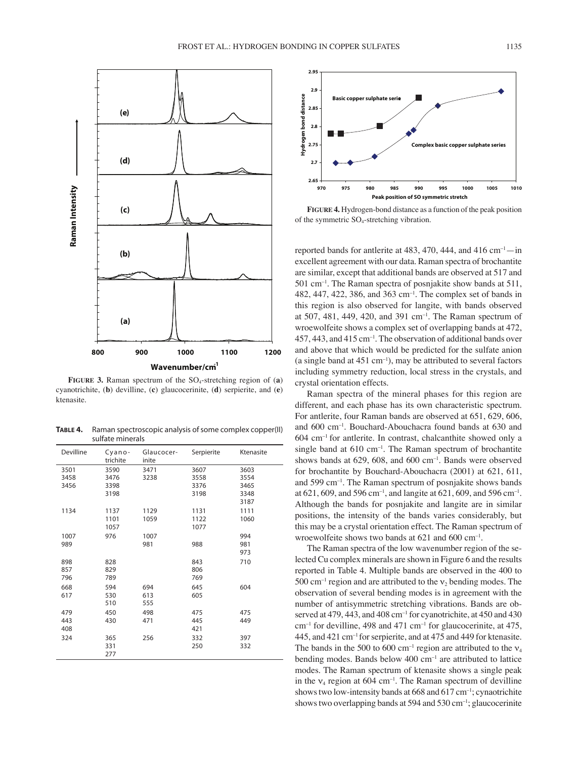

**���������** cyanotrichite, (**b**) devilline, (**c**) glaucocerinite, (**d**) serpierite, and (**e**) **FIGURE 3.** Raman spectrum of the SO4-stretching region of (**a**) ktenasite.

**TABLE 4.** Raman spectroscopic analysis of some complex copper(II) sulfate minerals

| Devilline | Cyano-<br>trichite | Glaucocer-<br>inite | Serpierite | Ktenasite |
|-----------|--------------------|---------------------|------------|-----------|
| 3501      | 3590               | 3471                | 3607       | 3603      |
| 3458      | 3476               | 3238                | 3558       | 3554      |
| 3456      | 3398               |                     | 3376       | 3465      |
|           | 3198               |                     | 3198       | 3348      |
|           |                    |                     |            | 3187      |
| 1134      | 1137               | 1129                | 1131       | 1111      |
|           | 1101               | 1059                | 1122       | 1060      |
|           | 1057               |                     | 1077       |           |
| 1007      | 976                | 1007                |            | 994       |
| 989       |                    | 981                 | 988        | 981       |
|           |                    |                     |            | 973       |
| 898       | 828                |                     | 843        | 710       |
| 857       | 829                |                     | 806        |           |
| 796       | 789                |                     | 769        |           |
| 668       | 594                | 694                 | 645        | 604       |
| 617       | 530                | 613                 | 605        |           |
|           | 510                | 555                 |            |           |
| 479       | 450                | 498                 | 475        | 475       |
| 443       | 430                | 471                 | 445        | 449       |
| 408       |                    |                     | 421        |           |
| 324       | 365                | 256                 | 332        | 397       |
|           | 331                |                     | 250        | 332       |
|           | 277                |                     |            |           |



**Figure 4 FIGURE 4.** Hydrogen-bond distance as a function of the peak position of the symmetric  $SO_4$ -stretching vibration.

reported bands for antlerite at 483, 470, 444, and 416  $cm^{-1}$ —in excellent agreement with our data. Raman spectra of brochantite are similar, except that additional bands are observed at 517 and 501 cm–1. The Raman spectra of posnjakite show bands at 511, 482, 447, 422, 386, and 363 cm–1. The complex set of bands in this region is also observed for langite, with bands observed at 507, 481, 449, 420, and 391  $cm^{-1}$ . The Raman spectrum of wroewolfeite shows a complex set of overlapping bands at 472,  $457, 443,$  and  $415 \text{ cm}^{-1}$ . The observation of additional bands over and above that which would be predicted for the sulfate anion (a single band at  $451 \text{ cm}^{-1}$ ), may be attributed to several factors including symmetry reduction, local stress in the crystals, and crystal orientation effects.

for brochantite by Bouchard-Abouchacra (2001) at 621, 611, Raman spectra of the mineral phases for this region are different, and each phase has its own characteristic spectrum. For antlerite, four Raman bands are observed at 651, 629, 606, and 600 cm–1. Bouchard-Abouchacra found bands at 630 and  $604$  cm<sup>-1</sup> for antlerite. In contrast, chalcanthite showed only a single band at 610 cm<sup>-1</sup>. The Raman spectrum of brochantite shows bands at 629, 608, and 600 cm–1. Bands were observed and 599 cm–1. The Raman spectrum of posnjakite shows bands at 621, 609, and 596 cm<sup>-1</sup>, and langite at 621, 609, and 596 cm<sup>-1</sup>. Although the bands for posnjakite and langite are in similar positions, the intensity of the bands varies considerably, but this may be a crystal orientation effect. The Raman spectrum of wroewolfeite shows two bands at 621 and 600 cm–1.

The Raman spectra of the low wavenumber region of the selected Cu complex minerals are shown in Figure 6 and the results reported in Table 4. Multiple bands are observed in the 400 to  $500 \text{ cm}^{-1}$  region and are attributed to the  $v_2$  bending modes. The observation of several bending modes is in agreement with the number of antisymmetric stretching vibrations. Bands are observed at 479, 443, and 408 cm<sup>-1</sup> for cyanotrichite, at 450 and 430 cm–1 for devilline, 498 and 471 cm–1 for glaucocerinite, at 475, 445, and 421 cm–1 for serpierite, and at 475 and 449 for ktenasite. The bands in the 500 to 600 cm<sup>-1</sup> region are attributed to the  $v_4$ bending modes. Bands below 400 cm<sup>-1</sup> are attributed to lattice modes. The Raman spectrum of ktenasite shows a single peak in the  $v_4$  region at 604 cm<sup>-1</sup>. The Raman spectrum of devilline shows two low-intensity bands at  $668$  and  $617$  cm<sup>-1</sup>; cynaotrichite shows two overlapping bands at 594 and 530 cm<sup>-1</sup>; glaucocerinite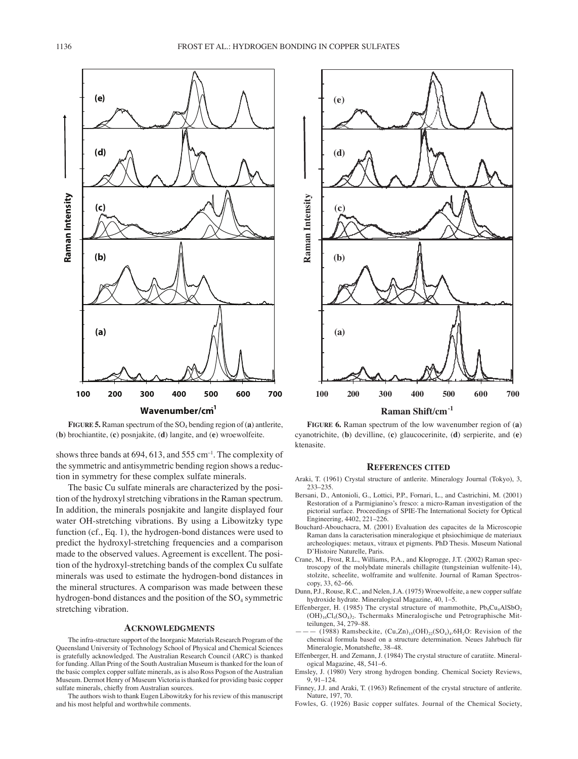

**FIGURE 5.** Raman spectrum of the  $SO_4$  bending region of (a) antierite, (b) brochiantite,  $(c)$  posnjakite,  $(d)$  langite, and  $(e)$  wroewolfeite.

shows three bands at 694, 613, and 555 cm<sup>-1</sup>. The complexity of the symmetric and antisymmetric bending region shows a reduction in symmetry for these complex sulfate minerals.

The basic Cu sulfate minerals are characterized by the position of the hydroxyl stretching vibrations in the Raman spectrum. In addition, the minerals posniakite and langite displayed four water OH-stretching vibrations. By using a Libowitzky type function (cf., Eq. 1), the hydrogen-bond distances were used to predict the hydroxyl-stretching frequencies and a comparison made to the observed values. Agreement is excellent. The position of the hydroxyl-stretching bands of the complex Cu sulfate minerals was used to estimate the hydrogen-bond distances in the mineral structures. A comparison was made between these hydrogen-bond distances and the position of the SO<sub>4</sub> symmetric stretching vibration.

#### **ACKNOWLEDGMENTS**

The infra-structure support of the Inorganic Materials Research Program of the Queensland University of Technology School of Physical and Chemical Sciences is gratefully acknowledged. The Australian Research Council (ARC) is thanked for funding. Allan Pring of the South Australian Museum is thanked for the loan of the basic complex copper sulfate minerals, as is also Ross Pogson of the Australian Museum. Dermot Henry of Museum Victoria is thanked for providing basic copper sulfate minerals, chiefly from Australian sources.

The authors wish to thank Eugen Libowitzky for his review of this manuscript and his most helpful and worthwhile comments.



FIGURE 6. Raman spectrum of the low wavenumber region of (a) cyanotrichite, (b) devilline, (c) glaucocerinite, (d) serpierite, and (e) ktenasite.

#### **REFERENCES CITED**

- Araki, T. (1961) Crystal structure of antlerite. Mineralogy Journal (Tokyo), 3, 233-235
- Bersani, D., Antonioli, G., Lottici, P.P., Fornari, L., and Castrichini, M. (2001) Restoration of a Parmigianino's fresco: a micro-Raman investigation of the pictorial surface. Proceedings of SPIE-The International Society for Optical Engineering, 4402, 221-226.
- Bouchard-Abouchacra, M. (2001) Evaluation des capacites de la Microscopie Raman dans la caracterisation mineralogique et phsiochimique de materiaux archeologiques: metaux, vitraux et pigments. PhD Thesis. Museum National D'Histoire Naturelle, Paris.
- Crane, M., Frost, R.L., Williams, P.A., and Kloprogge, J.T. (2002) Raman spectroscopy of the molybdate minerals chillagite (tungsteinian wulfenite-14), stolzite, scheelite, wolframite and wulfenite. Journal of Raman Spectrosсору, 33, 62-66.
- Dunn, P.J., Rouse, R.C., and Nelen, J.A. (1975) Wroewolfeite, a new copper sulfate hydroxide hydrate. Mineralogical Magazine, 40, 1-5.
- Effenberger, H. (1985) The crystal structure of mammothite, Pb<sub>6</sub>Cu<sub>4</sub>AlSbO<sub>2</sub> (OH)<sub>16</sub>Cl<sub>4</sub>(SO<sub>4</sub>)<sub>2</sub>. Tschermaks Mineralogische und Petrographische Mitteilungen, 34, 279-88
- (1988) Ramsbeckite,  $(Cu,Zn)_{15}(OH)_{22}(SO_4)_4.6H_2O$ : Revision of the chemical formula based on a structure determination. Neues Jahrbuch für Mineralogie, Monatshefte, 38-48
- Effenberger, H. and Zemann, J. (1984) The crystal structure of caratiite. Mineralogical Magazine, 48, 541-6.
- Emsley, J. (1980) Very strong hydrogen bonding. Chemical Society Reviews,  $9,91-124.$
- Finney, J.J. and Araki, T. (1963) Refinement of the crystal structure of antlerite. Nature, 197, 70.
- Fowles, G. (1926) Basic copper sulfates. Journal of the Chemical Society,